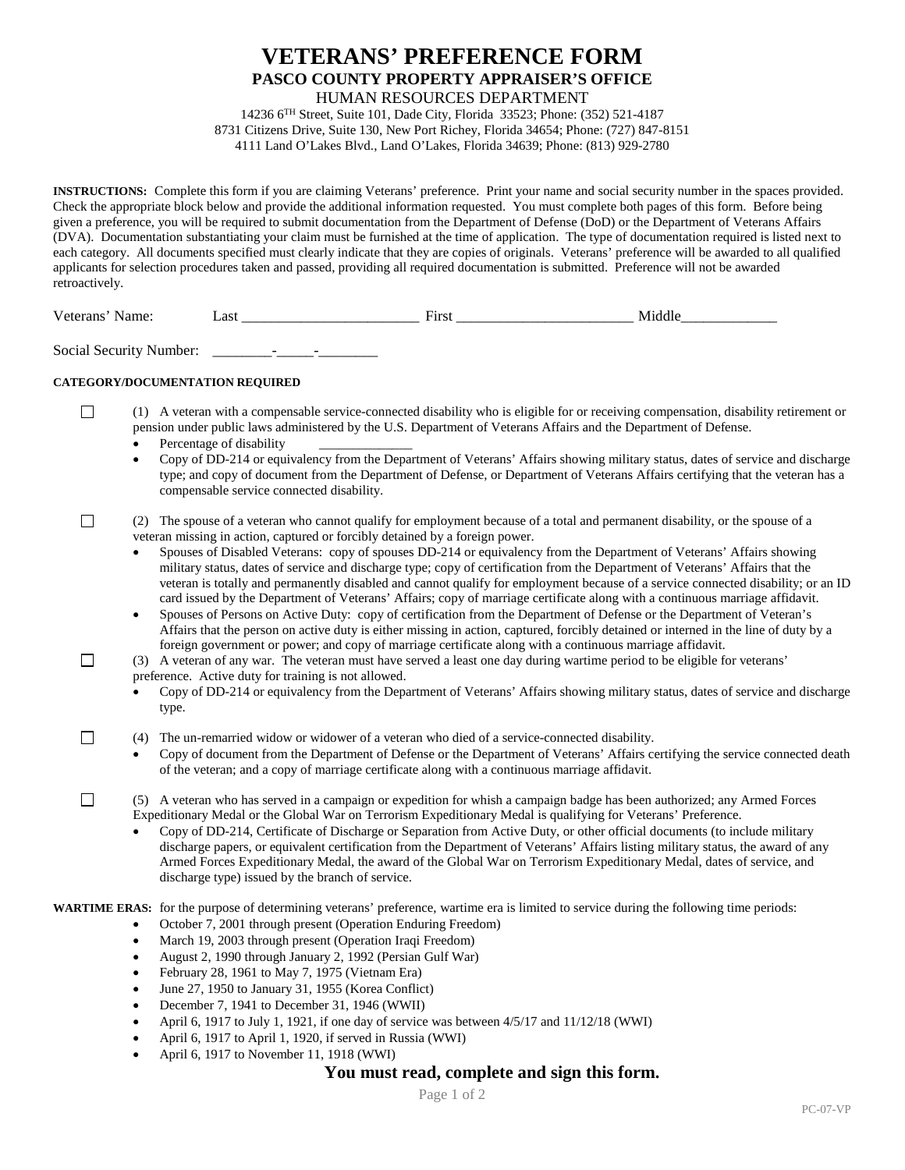# **VETERANS' PREFERENCE FORM PASCO COUNTY PROPERTY APPRAISER'S OFFICE** HUMAN RESOURCES DEPARTMENT

14236 6TH Street, Suite 101, Dade City, Florida 33523; Phone: (352) 521-4187 8731 Citizens Drive, Suite 130, New Port Richey, Florida 34654; Phone: (727) 847-8151 4111 Land O'Lakes Blvd., Land O'Lakes, Florida 34639; Phone: (813) 929-2780

**INSTRUCTIONS:** Complete this form if you are claiming Veterans' preference. Print your name and social security number in the spaces provided. Check the appropriate block below and provide the additional information requested. You must complete both pages of this form. Before being given a preference, you will be required to submit documentation from the Department of Defense (DoD) or the Department of Veterans Affairs (DVA). Documentation substantiating your claim must be furnished at the time of application. The type of documentation required is listed next to each category. All documents specified must clearly indicate that they are copies of originals. Veterans' preference will be awarded to all qualified applicants for selection procedures taken and passed, providing all required documentation is submitted. Preference will not be awarded retroactively.

Veterans' Name: 
Last 
 Last 
 Last 
 Last 
 Last 
 Last 
 Last 
 Last 
 Last 
 Last 
 Last 
 Last 
 Last 
 Last 
 Last 
 Last 
 Last 
Last 
Last 
Last 
Last 
Last 
Last 
Last 
Last 
Last 
Last

Social Security Number: \_\_\_\_\_\_\_\_-\_\_\_\_\_-\_\_\_\_\_\_\_\_

## **CATEGORY/DOCUMENTATION REQUIRED**

 $\Box$ 

 $\Box$ 

П

П

- $\Box$ (1) A veteran with a compensable service-connected disability who is eligible for or receiving compensation, disability retirement or pension under public laws administered by the U.S. Department of Veterans Affairs and the Department of Defense.
	- Percentage of disability
	- Copy of DD-214 or equivalency from the Department of Veterans' Affairs showing military status, dates of service and discharge type; and copy of document from the Department of Defense, or Department of Veterans Affairs certifying that the veteran has a compensable service connected disability.

### (2) The spouse of a veteran who cannot qualify for employment because of a total and permanent disability, or the spouse of a veteran missing in action, captured or forcibly detained by a foreign power.

- Spouses of Disabled Veterans: copy of spouses DD-214 or equivalency from the Department of Veterans' Affairs showing military status, dates of service and discharge type; copy of certification from the Department of Veterans' Affairs that the veteran is totally and permanently disabled and cannot qualify for employment because of a service connected disability; or an ID card issued by the Department of Veterans' Affairs; copy of marriage certificate along with a continuous marriage affidavit.
- Spouses of Persons on Active Duty: copy of certification from the Department of Defense or the Department of Veteran's Affairs that the person on active duty is either missing in action, captured, forcibly detained or interned in the line of duty by a foreign government or power; and copy of marriage certificate along with a continuous marriage affidavit.

(3) A veteran of any war. The veteran must have served a least one day during wartime period to be eligible for veterans'

- preference. Active duty for training is not allowed.
- Copy of DD-214 or equivalency from the Department of Veterans' Affairs showing military status, dates of service and discharge type.
- (4) The un-remarried widow or widower of a veteran who died of a service-connected disability.
	- Copy of document from the Department of Defense or the Department of Veterans' Affairs certifying the service connected death of the veteran; and a copy of marriage certificate along with a continuous marriage affidavit.

(5) A veteran who has served in a campaign or expedition for whish a campaign badge has been authorized; any Armed Forces Expeditionary Medal or the Global War on Terrorism Expeditionary Medal is qualifying for Veterans' Preference.

• Copy of DD-214, Certificate of Discharge or Separation from Active Duty, or other official documents (to include military discharge papers, or equivalent certification from the Department of Veterans' Affairs listing military status, the award of any Armed Forces Expeditionary Medal, the award of the Global War on Terrorism Expeditionary Medal, dates of service, and discharge type) issued by the branch of service.

**WARTIME ERAS:** for the purpose of determining veterans' preference, wartime era is limited to service during the following time periods:

- October 7, 2001 through present (Operation Enduring Freedom)
- March 19, 2003 through present (Operation Iraqi Freedom)
- August 2, 1990 through January 2, 1992 (Persian Gulf War)
- February 28, 1961 to May 7, 1975 (Vietnam Era)
- June 27, 1950 to January 31, 1955 (Korea Conflict)
- December 7, 1941 to December 31, 1946 (WWII)
- April 6, 1917 to July 1, 1921, if one day of service was between  $4/5/17$  and  $11/12/18$  (WWI)
- April 6, 1917 to April 1, 1920, if served in Russia (WWI)
- April 6, 1917 to November 11, 1918 (WWI)

# **You must read, complete and sign this form.**